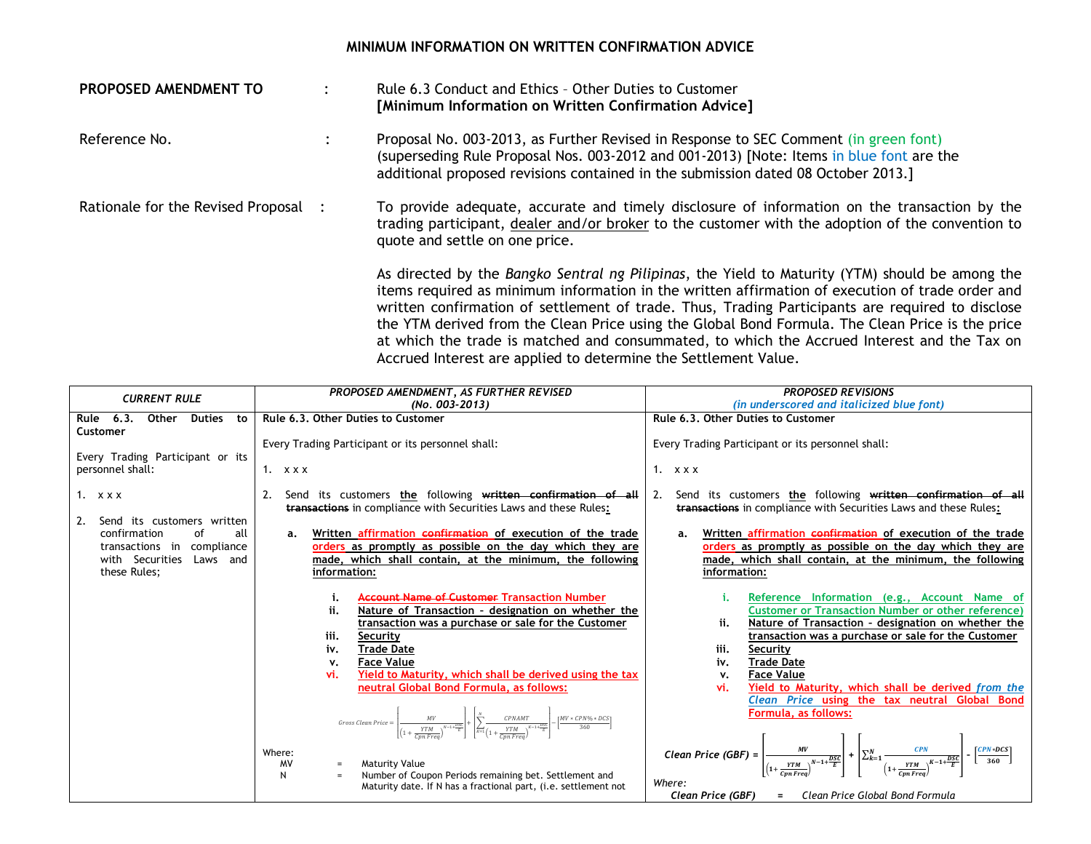## **MINIMUM INFORMATION ON WRITTEN CONFIRMATION ADVICE**

| PROPOSED AMENDMENT TO                | Rule 6.3 Conduct and Ethics - Other Duties to Customer<br>[Minimum Information on Written Confirmation Advice]                                                                                                                                                                                                                                                                                                                                                                                             |
|--------------------------------------|------------------------------------------------------------------------------------------------------------------------------------------------------------------------------------------------------------------------------------------------------------------------------------------------------------------------------------------------------------------------------------------------------------------------------------------------------------------------------------------------------------|
| Reference No.                        | Proposal No. 003-2013, as Further Revised in Response to SEC Comment (in green font)<br>(superseding Rule Proposal Nos. 003-2012 and 001-2013) [Note: Items in blue font are the<br>additional proposed revisions contained in the submission dated 08 October 2013.]                                                                                                                                                                                                                                      |
| Rationale for the Revised Proposal : | To provide adequate, accurate and timely disclosure of information on the transaction by the<br>trading participant, dealer and/or broker to the customer with the adoption of the convention to<br>quote and settle on one price.                                                                                                                                                                                                                                                                         |
|                                      | As directed by the Bangko Sentral ng Pilipinas, the Yield to Maturity (YTM) should be among the<br>items required as minimum information in the written affirmation of execution of trade order and<br>written confirmation of settlement of trade. Thus, Trading Participants are required to disclose<br>the YTM derived from the Clean Price using the Global Bond Formula. The Clean Price is the price<br>at which the trade is matched and consummated, to which the Accrued Interest and the Tax on |

Accrued Interest are applied to determine the Settlement Value.

| <b>CURRENT RULE</b>                       | PROPOSED AMENDMENT, AS FURTHER REVISED                                                                                                                                                                                                                            | <b>PROPOSED REVISIONS</b>                                                                                                                                                                                                 |
|-------------------------------------------|-------------------------------------------------------------------------------------------------------------------------------------------------------------------------------------------------------------------------------------------------------------------|---------------------------------------------------------------------------------------------------------------------------------------------------------------------------------------------------------------------------|
|                                           | (No. 003-2013)                                                                                                                                                                                                                                                    | (in underscored and italicized blue font)                                                                                                                                                                                 |
| Rule 6.3.<br>Other<br><b>Duties</b><br>to | Rule 6.3. Other Duties to Customer                                                                                                                                                                                                                                | Rule 6.3. Other Duties to Customer                                                                                                                                                                                        |
| Customer                                  |                                                                                                                                                                                                                                                                   |                                                                                                                                                                                                                           |
|                                           | Every Trading Participant or its personnel shall:                                                                                                                                                                                                                 | Every Trading Participant or its personnel shall:                                                                                                                                                                         |
| Every Trading Participant or its          |                                                                                                                                                                                                                                                                   |                                                                                                                                                                                                                           |
| personnel shall:                          | 1. $x \times x$                                                                                                                                                                                                                                                   | $1. \quad$ x x x                                                                                                                                                                                                          |
|                                           |                                                                                                                                                                                                                                                                   |                                                                                                                                                                                                                           |
| $1.$ $x x x$                              | Send its customers the following written confirmation of all                                                                                                                                                                                                      | Send its customers the following written confirmation of all<br>2.                                                                                                                                                        |
|                                           | <b>transactions</b> in compliance with Securities Laws and these Rules:                                                                                                                                                                                           | transactions in compliance with Securities Laws and these Rules:                                                                                                                                                          |
| 2.<br>Send its customers written          |                                                                                                                                                                                                                                                                   |                                                                                                                                                                                                                           |
| confirmation<br>οf<br>all                 | Written affirmation confirmation of execution of the trade<br>a.                                                                                                                                                                                                  | Written affirmation confirmation of execution of the trade<br>a.                                                                                                                                                          |
| compliance<br>transactions in             | orders as promptly as possible on the day which they are                                                                                                                                                                                                          | orders as promptly as possible on the day which they are                                                                                                                                                                  |
| with Securities<br>Laws<br>and            | made, which shall contain, at the minimum, the following                                                                                                                                                                                                          | made, which shall contain, at the minimum, the following                                                                                                                                                                  |
| these Rules;                              | information:                                                                                                                                                                                                                                                      | information:                                                                                                                                                                                                              |
|                                           |                                                                                                                                                                                                                                                                   |                                                                                                                                                                                                                           |
|                                           | <b>Account Name of Customer Transaction Number</b><br>i.                                                                                                                                                                                                          | Reference Information (e.g., Account Name of<br>i.                                                                                                                                                                        |
|                                           | ii.<br>Nature of Transaction - designation on whether the                                                                                                                                                                                                         | <b>Customer or Transaction Number or other reference)</b>                                                                                                                                                                 |
|                                           | transaction was a purchase or sale for the Customer                                                                                                                                                                                                               | ii.<br>Nature of Transaction - designation on whether the                                                                                                                                                                 |
|                                           | iii.<br>Security                                                                                                                                                                                                                                                  | transaction was a purchase or sale for the Customer                                                                                                                                                                       |
|                                           | <b>Trade Date</b><br>iv.                                                                                                                                                                                                                                          | iii.<br>Security                                                                                                                                                                                                          |
|                                           | <b>Face Value</b><br>v.                                                                                                                                                                                                                                           | <b>Trade Date</b><br>iv.                                                                                                                                                                                                  |
|                                           | Yield to Maturity, which shall be derived using the tax<br>vi.                                                                                                                                                                                                    | <b>Face Value</b><br>ν.                                                                                                                                                                                                   |
|                                           | neutral Global Bond Formula, as follows:                                                                                                                                                                                                                          | Yield to Maturity, which shall be derived from the<br>vi.                                                                                                                                                                 |
|                                           |                                                                                                                                                                                                                                                                   | Clean Price using the tax neutral Global Bond                                                                                                                                                                             |
|                                           |                                                                                                                                                                                                                                                                   | Formula, as follows:                                                                                                                                                                                                      |
|                                           | $\textit{Gross Clean Price} = \left  \frac{MV}{\left(1 + \frac{YMM}{\sqrt{N-1+1+2K}}\right)} \right  + \left  \sum_{k=1}^{N} \frac{\textit{CPNAMT}}{\left(1 + \frac{YTM}{\sqrt{N-1+1+2K}}\right)} \right  - \left  \frac{MV * \textit{CPN96 * DCS}}{360} \right $ |                                                                                                                                                                                                                           |
|                                           |                                                                                                                                                                                                                                                                   |                                                                                                                                                                                                                           |
|                                           | Where:                                                                                                                                                                                                                                                            | Clean Price (GBF) = $\frac{MV}{\left(1+\frac{YTM}{C\ln E\cos\theta}\right)} + \left[\sum_{k=1}^{N} \frac{CPN}{\left(1+\frac{YTM}{C\ln E\cos\theta}\right)^{K-1+\frac{DSC}{E}}}\right] - \left[\frac{CPN+DCS}{360}\right]$ |
|                                           | <b>Maturity Value</b><br>MV<br>$=$                                                                                                                                                                                                                                |                                                                                                                                                                                                                           |
|                                           | N<br>Number of Coupon Periods remaining bet. Settlement and                                                                                                                                                                                                       | Where:                                                                                                                                                                                                                    |
|                                           | Maturity date. If N has a fractional part, (i.e. settlement not                                                                                                                                                                                                   | Clean Price (GBF) = Clean Price Global Bond Formula                                                                                                                                                                       |
|                                           |                                                                                                                                                                                                                                                                   |                                                                                                                                                                                                                           |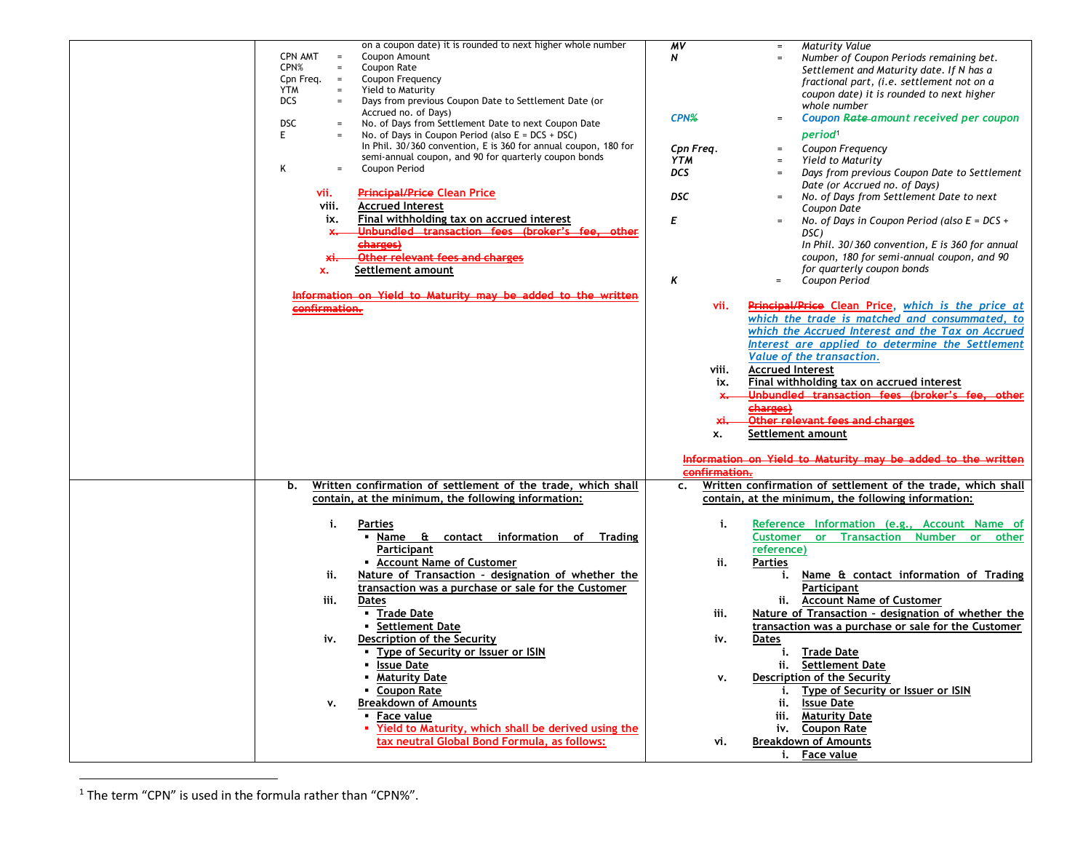| on a coupon date) it is rounded to next higher whole number<br><b>CPN AMT</b><br>Coupon Amount<br>$=$                                                                                              | <b>Maturity Value</b><br>MV<br>$\equiv$<br>N<br>Number of Coupon Periods remaining bet.                                                                                                                               |
|----------------------------------------------------------------------------------------------------------------------------------------------------------------------------------------------------|-----------------------------------------------------------------------------------------------------------------------------------------------------------------------------------------------------------------------|
| CPN%<br>Coupon Rate<br>$\equiv$<br>Coupon Frequency<br>Cpn Freq.<br>$\equiv$<br><b>YTM</b><br>Yield to Maturity<br>$\equiv$<br><b>DCS</b><br>Days from previous Coupon Date to Settlement Date (or | Settlement and Maturity date. If N has a<br>fractional part, (i.e. settlement not on a<br>coupon date) it is rounded to next higher<br>whole number                                                                   |
| Accrued no. of Days)<br><b>DSC</b><br>No. of Days from Settlement Date to next Coupon Date<br>E.<br>No. of Days in Coupon Period (also $E = DCS + DSC$ )                                           | Coupon Rate-amount received per coupon<br>CPN%<br>$\equiv$<br>period <sup>1</sup>                                                                                                                                     |
| In Phil. 30/360 convention, E is 360 for annual coupon, 180 for<br>semi-annual coupon, and 90 for quarterly coupon bonds<br>Κ<br>Coupon Period<br>$=$                                              | Cpn Freq.<br>Coupon Frequency<br>$\equiv$<br>YTM<br>Yield to Maturity<br>$\equiv$<br><b>DCS</b><br>Days from previous Coupon Date to Settlement<br>$\equiv$                                                           |
| <b>Principal/Price Clean Price</b><br>vii.<br>viii.<br><b>Accrued Interest</b>                                                                                                                     | Date (or Accrued no. of Days)<br>DSC<br>No. of Days from Settlement Date to next<br>$\equiv$<br>Coupon Date                                                                                                           |
| Final withholding tax on accrued interest<br>ix.<br>Unbundled transaction fees (broker's<br>×.                                                                                                     | Е<br>No. of Days in Coupon Period (also $E = DCS +$<br>$\equiv$<br>DSC)                                                                                                                                               |
| charges)<br><b>Other relevant fees and charges</b><br>хi.                                                                                                                                          | In Phil. 30/360 convention, E is 360 for annual<br>coupon, 180 for semi-annual coupon, and 90<br>for quarterly coupon bonds                                                                                           |
| Settlement amount<br>x.<br>Information on Yield to Maturity may be added to the written                                                                                                            | Κ<br>Coupon Period<br>$\equiv$                                                                                                                                                                                        |
| confirmation.                                                                                                                                                                                      | Principal/Price Clean Price, which is the price at<br>vii.<br>which the trade is matched and consummated, to<br>which the Accrued Interest and the Tax on Accrued<br>Interest are applied to determine the Settlement |
|                                                                                                                                                                                                    | Value of the transaction.<br><b>Accrued Interest</b><br>viii.                                                                                                                                                         |
|                                                                                                                                                                                                    | Final withholding tax on accrued interest<br>ix.<br>Unbundled transaction fees (broker's fee<br>ather<br>$x -$                                                                                                        |
|                                                                                                                                                                                                    | charges)<br>Other relevant fees and charges<br>хi.<br>Settlement amount<br>x.                                                                                                                                         |
|                                                                                                                                                                                                    | Information on Yield to Maturity may be added to the written<br>confirmation.                                                                                                                                         |
| Written confirmation of settlement of the trade, which shall<br>b.<br>contain, at the minimum, the following information:                                                                          | Written confirmation of settlement of the trade, which shall<br>$\mathsf{c}$ .<br>contain, at the minimum, the following information:                                                                                 |
| i.<br>Parties<br>contact information of Trading<br>Name &                                                                                                                                          | i.<br>Reference Information (e.g., Account Name of<br>or Transaction Number or<br><b>Customer</b><br>other                                                                                                            |
| Participant<br>• Account Name of Customer<br>Nature of Transaction - designation of whether the<br>ii.<br>transaction was a purchase or sale for the Customer                                      | reference)<br>ii.<br><b>Parties</b><br>Name & contact information of Trading<br>i.<br>Participant                                                                                                                     |
| iii.<br>Dates<br>• Trade Date                                                                                                                                                                      | ii. Account Name of Customer<br>Nature of Transaction - designation of whether the<br>iii.                                                                                                                            |
| • Settlement Date<br>Description of the Security<br>iv.<br>• Type of Security or Issuer or ISIN                                                                                                    | transaction was a purchase or sale for the Customer<br>iv.<br>Dates<br>Trade Date<br>i.                                                                                                                               |
| <b>Issue Date</b><br><b>Maturity Date</b><br>• Coupon Rate                                                                                                                                         | ii. Settlement Date<br>Description of the Security<br>٧.<br><b>Type of Security or Issuer or ISIN</b><br>i.                                                                                                           |
| <b>Breakdown of Amounts</b><br>٧.<br>• Face value<br>" Yield to Maturity, which shall be derived using the                                                                                         | ii.<br><b>Issue Date</b><br>iii. Maturity Date<br>iv. Coupon Rate                                                                                                                                                     |
| tax neutral Global Bond Formula, as follows:                                                                                                                                                       | <b>Breakdown of Amounts</b><br>vi.<br>i. Face value                                                                                                                                                                   |

 $1$  The term "CPN" is used in the formula rather than "CPN%".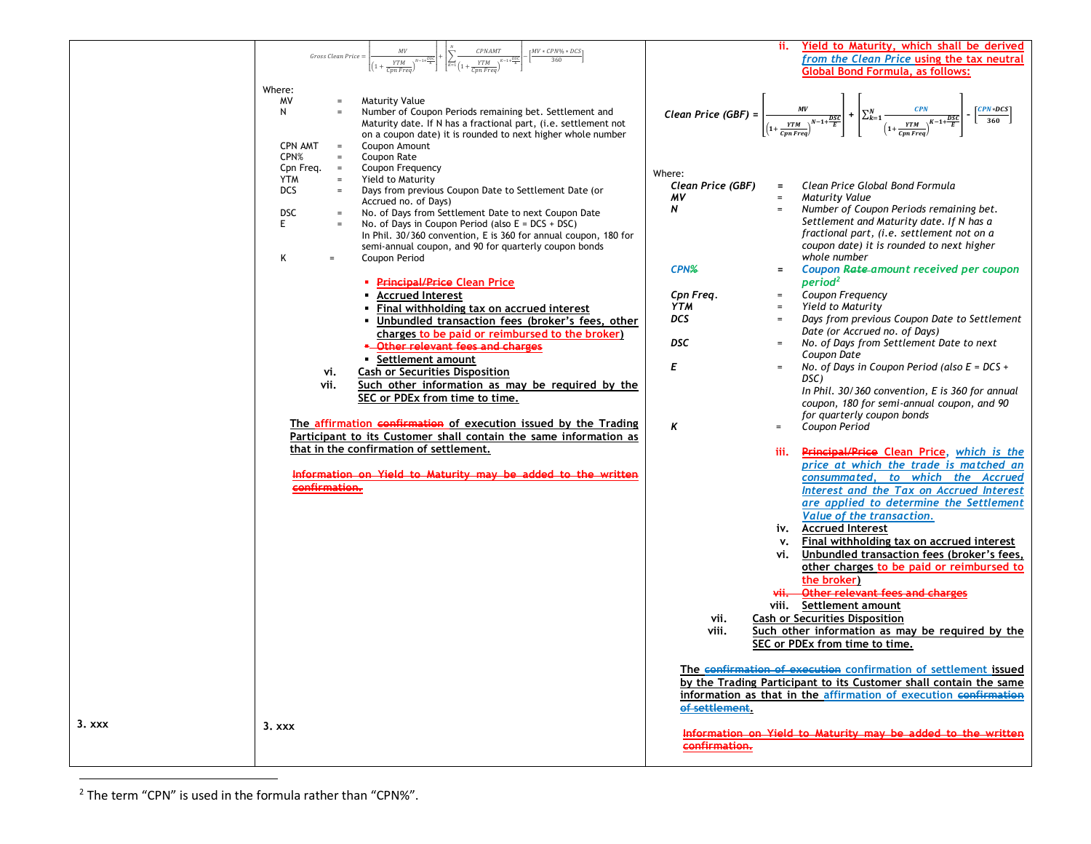|          | $\mathcal{CP}NAMT$<br>$MV * CPN\% * DCS$                                                | Yield to Maturity, which shall be derived<br>ii.                                                                                                                                                                                   |
|----------|-----------------------------------------------------------------------------------------|------------------------------------------------------------------------------------------------------------------------------------------------------------------------------------------------------------------------------------|
|          | Gross Clean Price =<br>360<br>YTM<br>YTM                                                | from the Clean Price using the tax neutral                                                                                                                                                                                         |
|          | Cpn Freq                                                                                | <b>Global Bond Formula, as follows:</b>                                                                                                                                                                                            |
|          |                                                                                         |                                                                                                                                                                                                                                    |
|          | Where:                                                                                  |                                                                                                                                                                                                                                    |
|          | MV<br><b>Maturity Value</b><br>$\qquad \qquad =$                                        | Clean Price (GBF) = $\frac{MV}{\left(1+\frac{YTM}{\sqrt{N-1}}\right)^{N-1+\frac{DSC}{E}}}\left +\left \sum_{k=1}^{N}\frac{CPN}{\left(1+\frac{YTM}{\sqrt{N-1}}\right)^{K-1+\frac{DSC}{E}}}\right -\left[\frac{CPN*DCS}{360}\right]$ |
|          | Number of Coupon Periods remaining bet. Settlement and<br>N<br>$\qquad \qquad =$        |                                                                                                                                                                                                                                    |
|          | Maturity date. If N has a fractional part, (i.e. settlement not                         |                                                                                                                                                                                                                                    |
|          | on a coupon date) it is rounded to next higher whole number                             |                                                                                                                                                                                                                                    |
|          | <b>CPN AMT</b><br>Coupon Amount<br>$\hspace{0.1cm} = \hspace{0.1cm}$                    |                                                                                                                                                                                                                                    |
|          | CPN%<br>Coupon Rate<br>$=$                                                              |                                                                                                                                                                                                                                    |
|          | Cpn Freq. $=$<br>Coupon Frequency                                                       | Where:                                                                                                                                                                                                                             |
|          | Yield to Maturity<br><b>YTM</b><br>$=$                                                  | Clean Price Global Bond Formula<br>Clean Price (GBF)<br>$=$                                                                                                                                                                        |
|          | <b>DCS</b><br>Days from previous Coupon Date to Settlement Date (or<br>$\equiv$         | ΜV<br><b>Maturity Value</b><br>$\equiv$                                                                                                                                                                                            |
|          | Accrued no. of Days)                                                                    | N<br>Number of Coupon Periods remaining bet.<br>$\equiv$                                                                                                                                                                           |
|          | <b>DSC</b><br>No. of Days from Settlement Date to next Coupon Date<br>$\qquad \qquad =$ | Settlement and Maturity date. If N has a                                                                                                                                                                                           |
|          | No. of Days in Coupon Period (also $E = DCS + DSC$ )<br>E.<br>$\qquad \qquad =$         |                                                                                                                                                                                                                                    |
|          | In Phil. 30/360 convention, E is 360 for annual coupon, 180 for                         | fractional part, (i.e. settlement not on a                                                                                                                                                                                         |
|          | semi-annual coupon, and 90 for quarterly coupon bonds                                   | coupon date) it is rounded to next higher                                                                                                                                                                                          |
|          | Κ<br>Coupon Period<br>$=$                                                               | whole number                                                                                                                                                                                                                       |
|          |                                                                                         | CPN%<br>Coupon Rate-amount received per coupon<br>$=$                                                                                                                                                                              |
|          | <b>- Principal/Price Clean Price</b>                                                    | period <sup>2</sup>                                                                                                                                                                                                                |
|          | <b>Accrued Interest</b>                                                                 | Coupon Frequency<br>Cpn Freq.<br>$=$ $\,$                                                                                                                                                                                          |
|          | Final withholding tax on accrued interest                                               | Yield to Maturity<br><b>YTM</b><br>$=$                                                                                                                                                                                             |
|          | Unbundled transaction fees (broker's fees, other                                        | Days from previous Coupon Date to Settlement<br>DCS.<br>$\equiv$                                                                                                                                                                   |
|          | charges to be paid or reimbursed to the broker)<br>-Other relevant fees and charges     | Date (or Accrued no. of Days)<br>DSC<br>No. of Days from Settlement Date to next<br>$\equiv$                                                                                                                                       |
|          | • Settlement amount                                                                     | Coupon Date                                                                                                                                                                                                                        |
|          | <b>Cash or Securities Disposition</b>                                                   | Ε<br>No. of Days in Coupon Period (also $E = DCS +$<br>$=$                                                                                                                                                                         |
|          | vi.                                                                                     | DSC)                                                                                                                                                                                                                               |
|          | Such other information as may be required by the<br>vii.                                | In Phil. 30/360 convention, E is 360 for annual                                                                                                                                                                                    |
|          | SEC or PDEx from time to time.                                                          | coupon, 180 for semi-annual coupon, and 90                                                                                                                                                                                         |
|          |                                                                                         | for quarterly coupon bonds                                                                                                                                                                                                         |
|          | The affirmation confirmation of execution issued by the Trading                         | Κ<br>Coupon Period<br>$\equiv$                                                                                                                                                                                                     |
|          | Participant to its Customer shall contain the same information as                       |                                                                                                                                                                                                                                    |
|          | that in the confirmation of settlement.                                                 | Principal/Price Clean Price, which is the<br>iii.                                                                                                                                                                                  |
|          |                                                                                         | price at which the trade is matched an                                                                                                                                                                                             |
|          | Information on Yield to Maturity may be added to the written                            | consummated, to which the Accrued                                                                                                                                                                                                  |
|          | confirmation.                                                                           | Interest and the Tax on Accrued Interest                                                                                                                                                                                           |
|          |                                                                                         |                                                                                                                                                                                                                                    |
|          |                                                                                         | are applied to determine the Settlement                                                                                                                                                                                            |
|          |                                                                                         | Value of the transaction.                                                                                                                                                                                                          |
|          |                                                                                         | iv. Accrued Interest                                                                                                                                                                                                               |
|          |                                                                                         | Final withholding tax on accrued interest<br>v.                                                                                                                                                                                    |
|          |                                                                                         | Unbundled transaction fees (broker's fees,<br>vi.                                                                                                                                                                                  |
|          |                                                                                         | other charges to be paid or reimbursed to                                                                                                                                                                                          |
|          |                                                                                         | the broker)                                                                                                                                                                                                                        |
|          |                                                                                         | Other relevant fees and charges<br>vii.-                                                                                                                                                                                           |
|          |                                                                                         | Settlement amount<br>viii.                                                                                                                                                                                                         |
|          |                                                                                         |                                                                                                                                                                                                                                    |
|          |                                                                                         | <b>Cash or Securities Disposition</b><br>vii.                                                                                                                                                                                      |
|          |                                                                                         | Such other information as may be required by the<br>viii.                                                                                                                                                                          |
|          |                                                                                         | SEC or PDEx from time to time.                                                                                                                                                                                                     |
|          |                                                                                         |                                                                                                                                                                                                                                    |
|          |                                                                                         | The confirmation of execution confirmation of settlement issued                                                                                                                                                                    |
|          |                                                                                         | by the Trading Participant to its Customer shall contain the same                                                                                                                                                                  |
|          |                                                                                         | information as that in the affirmation of execution confirmation                                                                                                                                                                   |
|          |                                                                                         | of settlement.                                                                                                                                                                                                                     |
| $3.$ xxx | 3.xxx                                                                                   |                                                                                                                                                                                                                                    |
|          |                                                                                         | Information on Yield to Maturity may be added to the written                                                                                                                                                                       |
|          |                                                                                         | confirmation.                                                                                                                                                                                                                      |
|          |                                                                                         |                                                                                                                                                                                                                                    |

 $2$  The term "CPN" is used in the formula rather than "CPN%".